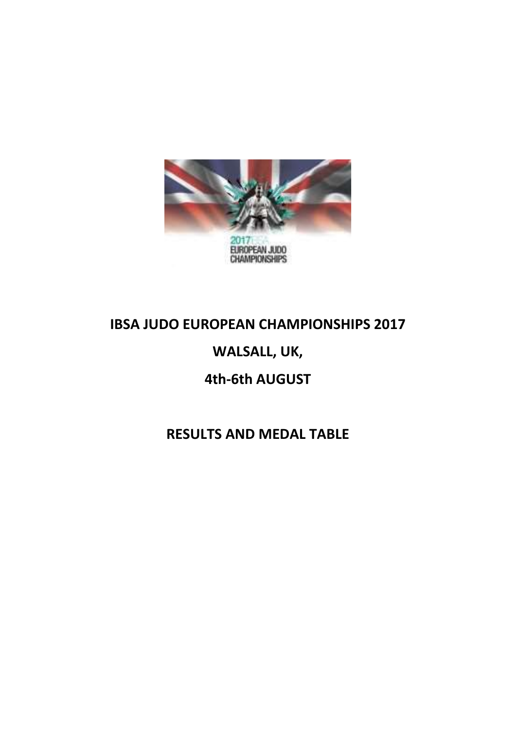

#### IBSA JUDO EUROPEAN CHAMPIONSHIPS 2017

#### WALSALL, UK,

#### 4th-6th AUGUST

#### RESULTS AND MEDAL TABLE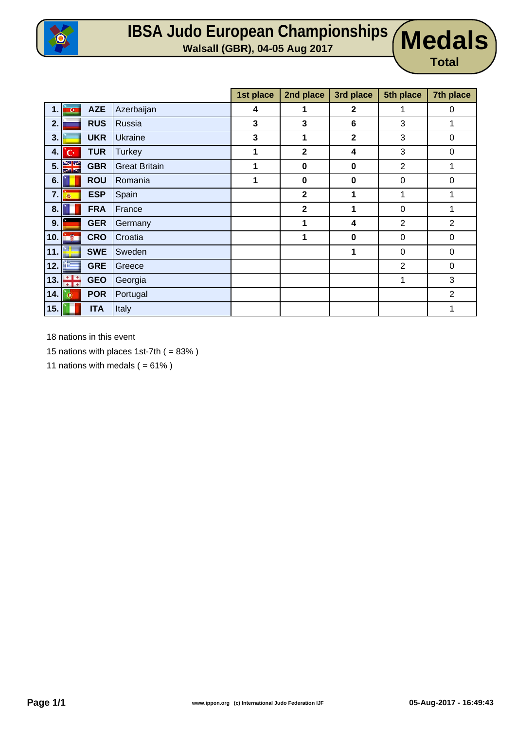

## **IBSA Judo European Championships Walsall (GBR), 04-05 Aug 2017 Medals**

**Total**

|      |                         |            |                      | 1st place | 2nd place    | 3rd place    | 5th place      | 7th place      |
|------|-------------------------|------------|----------------------|-----------|--------------|--------------|----------------|----------------|
| 1.1  | $\overline{\mathbf{G}}$ | <b>AZE</b> | Azerbaijan           | 4         | 1            | $\mathbf 2$  |                | $\mathbf 0$    |
| 2.   |                         | <b>RUS</b> | Russia               | 3         | 3            | 6            | 3              | 1              |
| 3.   |                         | <b>UKR</b> | Ukraine              | 3         | $\mathbf 1$  | $\mathbf{2}$ | 3              | 0              |
| 4.   | 'C·                     | <b>TUR</b> | <b>Turkey</b>        | 1         | $\mathbf{2}$ | 4            | 3              | 0              |
|      | 5.38                    | <b>GBR</b> | <b>Great Britain</b> | 1         | $\mathbf 0$  | $\bf{0}$     | $\overline{2}$ | 1              |
| 6.   |                         | <b>ROU</b> | Romania              | 1         | $\mathbf 0$  | 0            | 0              | $\mathbf 0$    |
| 7.1  | 燕                       | <b>ESP</b> | Spain                |           | $\mathbf{2}$ | 1            | 1              | 1              |
| 8.   |                         | <b>FRA</b> | France               |           | $\mathbf{2}$ | 1            | $\mathbf 0$    | 1              |
| 9.   |                         | <b>GER</b> | Germany              |           | 1            | 4            | 2              | 2              |
| 10.  | inë p                   | <b>CRO</b> | Croatia              |           | $\mathbf{1}$ | $\bf{0}$     | $\pmb{0}$      | $\mathbf 0$    |
|      | 11. $E =$               | <b>SWE</b> | Sweden               |           |              | 1            | 0              | $\mathbf 0$    |
| 12.1 | in the                  | <b>GRE</b> | Greece               |           |              |              | 2              | 0              |
| 13.  | ÷÷                      | <b>GEO</b> | Georgia              |           |              |              | 1              | 3              |
| 14.1 | $\circ$                 | <b>POR</b> | Portugal             |           |              |              |                | $\overline{2}$ |
| 15.  |                         | <b>ITA</b> | Italy                |           |              |              |                | 1              |

18 nations in this event

15 nations with places 1st-7th  $( = 83\%)$ 

11 nations with medals  $( = 61\%)$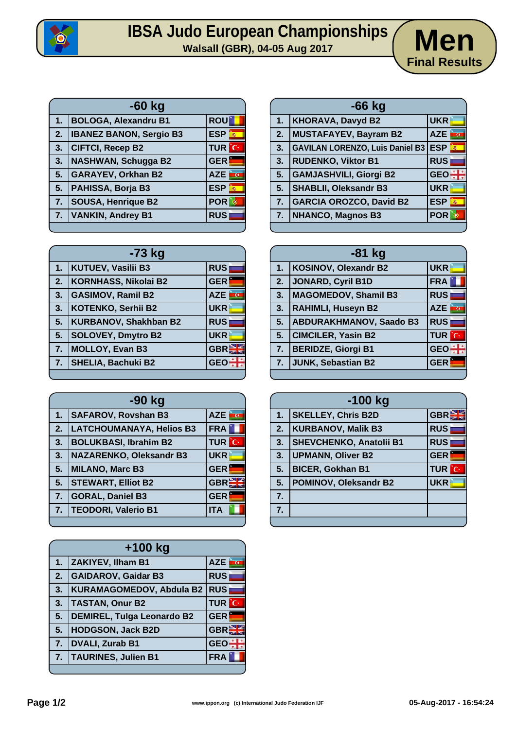

# **IBSA Judo European Championships**<br>Walsall (GBR), 04-05 Aug 2017



| $-60$ kg |                                |                                         |  |
|----------|--------------------------------|-----------------------------------------|--|
| 1.       | <b>BOLOGA, Alexandru B1</b>    | <b>ROU</b>                              |  |
| 2.       | <b>IBANEZ BANON, Sergio B3</b> | <b>ESP</b><br>$\overline{\rho_{\rm R}}$ |  |
| 3.       | <b>CIFTCI, Recep B2</b>        | <b>TUR</b> C                            |  |
| 3.       | <b>NASHWAN, Schugga B2</b>     | <b>GER</b>                              |  |
| 5.       | <b>GARAYEV, Orkhan B2</b>      | <b>AZE</b>                              |  |
| 5.       | PAHISSA, Borja B3              | <b>ESP</b><br>蝨                         |  |
| 7.       | <b>SOUSA, Henrique B2</b>      | POR<br>$\cdot$                          |  |
| 7.       | <b>VANKIN, Andrey B1</b>       | <b>RUS</b>                              |  |
|          |                                |                                         |  |

| $-66$ kg |                                            |                 |  |  |
|----------|--------------------------------------------|-----------------|--|--|
| 1.       | <b>KHORAVA, Davyd B2</b>                   | <b>UKR</b>      |  |  |
| 2.       | <b>MUSTAFAYEV, Bayram B2</b>               | <b>AZE</b><br>E |  |  |
| 3.       | <b>GAVILAN LORENZO, Luis Daniel B3 ESP</b> | $\vec{p}_k$     |  |  |
| 3.       | <b>RUDENKO, Viktor B1</b>                  | <b>RUS</b>      |  |  |
| 5.       | <b>GAMJASHVILI, Giorgi B2</b>              | $GEO +$         |  |  |
| 5.       | <b>SHABLII, Oleksandr B3</b>               | <b>UKR</b>      |  |  |
| 7.       | <b>GARCIA OROZCO, David B2</b>             | <b>ESP</b>      |  |  |
| 7.       | NHANCO, Magnos B3                          | <b>POR</b>      |  |  |

| $-73$ kg |                              |            |  |  |
|----------|------------------------------|------------|--|--|
| 1.       | <b>KUTUEV, Vasilii B3</b>    | <b>RUS</b> |  |  |
| 2.       | <b>KORNHASS, Nikolai B2</b>  | <b>GER</b> |  |  |
| 3.       | <b>GASIMOV, Ramil B2</b>     | <b>AZE</b> |  |  |
| 3.       | <b>KOTENKO, Serhii B2</b>    | <b>UKR</b> |  |  |
| 5.       | <b>KURBANOV, Shakhban B2</b> | <b>RUS</b> |  |  |
| 5.       | <b>SOLOVEY, Dmytro B2</b>    | <b>UKR</b> |  |  |
| 7.       | <b>MOLLOY, Evan B3</b>       | <b>GBR</b> |  |  |
| 7.       | <b>SHELIA, Bachuki B2</b>    | <b>GE</b>  |  |  |
|          |                              |            |  |  |

| -90 kg |                                 |               |  |  |  |
|--------|---------------------------------|---------------|--|--|--|
| 1.     | <b>SAFAROV, Rovshan B3</b>      | AZE <b>TO</b> |  |  |  |
| 2.     | <b>LATCHOUMANAYA, Helios B3</b> | <b>FRA</b>    |  |  |  |
| 3.     | <b>BOLUKBASI, Ibrahim B2</b>    | <b>TUR</b> C  |  |  |  |
| 3.     | <b>NAZARENKO, Oleksandr B3</b>  | <b>UKR</b>    |  |  |  |
| 5.     | <b>MILANO, Marc B3</b>          | <b>GER</b>    |  |  |  |
| 5.     | <b>STEWART, Elliot B2</b>       | GBR           |  |  |  |
| 7.     | <b>GORAL, Daniel B3</b>         | <b>GER</b>    |  |  |  |
| 7.     | <b>TEODORI, Valerio B1</b>      | <b>ITA</b>    |  |  |  |
|        |                                 |               |  |  |  |

| $+100$ kg |                                   |                  |  |  |
|-----------|-----------------------------------|------------------|--|--|
| 1.        | <b>ZAKIYEV, Ilham B1</b>          | <b>AZE</b>       |  |  |
| 2.        | <b>GAIDAROV, Gaidar B3</b>        | <b>RUS</b>       |  |  |
| 3.        | <b>KURAMAGOMEDOV, Abdula B2</b>   | <b>RUS</b>       |  |  |
| 3.        | <b>TASTAN, Onur B2</b>            | TUR<br>'C·       |  |  |
| 5.        | <b>DEMIREL, Tulga Leonardo B2</b> | <b>GER</b>       |  |  |
| 5.        | <b>HODGSON, Jack B2D</b>          | GBR <sub>2</sub> |  |  |
| 7.        | <b>DVALI, Zurab B1</b>            | <b>GEO</b>       |  |  |
| 7.        | <b>TAURINES, Julien B1</b>        | <b>FRA</b>       |  |  |
|           |                                   |                  |  |  |

| $-81$ kg |                                |               |  |  |
|----------|--------------------------------|---------------|--|--|
| 1.       | KOSINOV, Olexandr B2           | <b>UKR</b>    |  |  |
| 2.       | JONARD, Cyril B1D              | FRA  <br>٦    |  |  |
| 3.       | MAGOMEDOV, Shamil B3           | <b>RUS</b>    |  |  |
| 3.       | <b>RAHIMLI, Huseyn B2</b>      | AZE <b>TO</b> |  |  |
| 5.       | <b>ABDURAKHMANOV, Saado B3</b> | <b>RUS</b>    |  |  |
| 5.       | <b>CIMCILER, Yasin B2</b>      | <b>TUR</b> C  |  |  |
| 7.       | <b>BERIDZE, Giorgi B1</b>      | $GEO +$       |  |  |
| 7.       | JUNK, Sebastian B2             | <b>GER</b>    |  |  |
|          |                                |               |  |  |

| $-100$ kg |                                |              |  |  |
|-----------|--------------------------------|--------------|--|--|
| 1.        | <b>SKELLEY, Chris B2D</b>      | <b>GBREE</b> |  |  |
| 2.7       | <b>KURBANOV, Malik B3</b>      | <b>RUS</b>   |  |  |
| 3.        | <b>SHEVCHENKO, Anatolii B1</b> | <b>RUS</b>   |  |  |
| 3.        | <b>UPMANN, Oliver B2</b>       | <b>GER</b>   |  |  |
| 5.        | <b>BICER, Gokhan B1</b>        | <b>TUR</b> C |  |  |
| 5.        | <b>POMINOV, Oleksandr B2</b>   | <b>UKR</b>   |  |  |
| 7.        |                                |              |  |  |
| 7.        |                                |              |  |  |
|           |                                |              |  |  |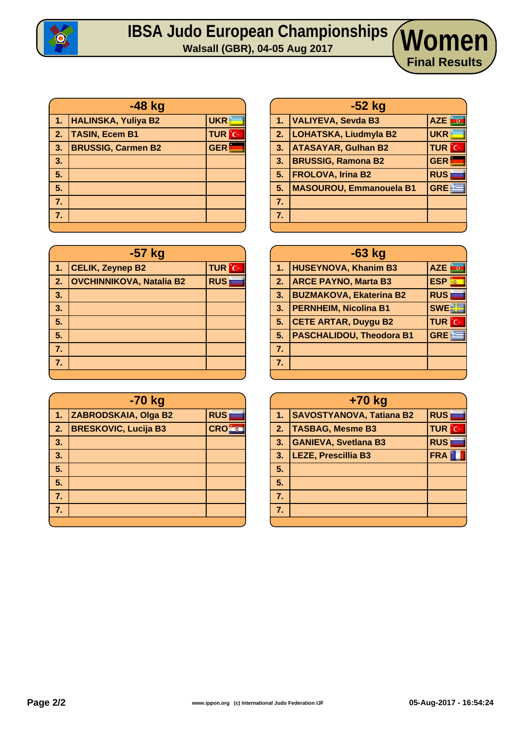

## **IBSA Judo European Championships Walsall (GBR), 04-05 Aug 2017 Women**

| $-48$ kg     |                            |              |  |  |
|--------------|----------------------------|--------------|--|--|
| $\mathbf{1}$ | <b>HALINSKA, Yuliya B2</b> | <b>UKR</b>   |  |  |
| $\sqrt{2}$ . | <b>TASIN, Ecem B1</b>      | <b>TUR</b> C |  |  |
| 3.           | <b>BRUSSIG, Carmen B2</b>  | <b>GER</b>   |  |  |
| 3.           |                            |              |  |  |
| 5.           |                            |              |  |  |
| 5.           |                            |              |  |  |
| 7.           |                            |              |  |  |
| 7.           |                            |              |  |  |
|              |                            |              |  |  |

| -57 kg |                                 |              |  |  |
|--------|---------------------------------|--------------|--|--|
| 1.     | <b>CELIK, Zeynep B2</b>         | <b>TUR</b> C |  |  |
| 2.     | <b>OVCHINNIKOVA, Natalia B2</b> | <b>RUS</b>   |  |  |
| 3.     |                                 |              |  |  |
| 3.     |                                 |              |  |  |
| 5.     |                                 |              |  |  |
| 5.     |                                 |              |  |  |
| 7.     |                                 |              |  |  |
| 7.     |                                 |              |  |  |
|        |                                 |              |  |  |

|    | -70 kg                      |            |  |  |  |
|----|-----------------------------|------------|--|--|--|
| 1. | ZABRODSKAIA, Olga B2        | <b>RUS</b> |  |  |  |
| 2. | <b>BRESKOVIC, Lucija B3</b> | <b>CRO</b> |  |  |  |
| 3. |                             |            |  |  |  |
| 3. |                             |            |  |  |  |
| 5. |                             |            |  |  |  |
| 5. |                             |            |  |  |  |
| 7. |                             |            |  |  |  |
| 7. |                             |            |  |  |  |
|    |                             |            |  |  |  |

| -52 kg |                                |              |  |  |
|--------|--------------------------------|--------------|--|--|
| 1.     | VALIYEVA, Sevda B3             | AZE<br>ince  |  |  |
| 2.     | <b>LOHATSKA, Liudmyla B2</b>   | <b>UKR</b>   |  |  |
| 3.     | <b>ATASAYAR, Gulhan B2</b>     | <b>TUR</b> C |  |  |
| 3.     | <b>BRUSSIG, Ramona B2</b>      | <b>GER</b>   |  |  |
| 5.     | <b>FROLOVA, Irina B2</b>       | <b>RUS</b>   |  |  |
| 5.     | <b>MASOUROU, Emmanouela B1</b> | <b>GREE</b>  |  |  |
| 7.     |                                |              |  |  |
| 7.     |                                |              |  |  |
|        |                                |              |  |  |

**Final Results**

|                | $-63$ kg                        |                 |  |  |  |  |  |  |
|----------------|---------------------------------|-----------------|--|--|--|--|--|--|
| 1.             | <b>HUSEYNOVA, Khanim B3</b>     | AZE <b>FOR</b>  |  |  |  |  |  |  |
| 2.             | <b>ARCE PAYNO, Marta B3</b>     | <b>ESP</b><br>轟 |  |  |  |  |  |  |
| 3.             | <b>BUZMAKOVA, Ekaterina B2</b>  | <b>RUS</b>      |  |  |  |  |  |  |
| 3.             | <b>PERNHEIM, Nicolina B1</b>    | <b>SWE</b>      |  |  |  |  |  |  |
| 5.             | <b>CETE ARTAR, Duygu B2</b>     | <b>TUR</b> C    |  |  |  |  |  |  |
| 5.             | <b>PASCHALIDOU, Theodora B1</b> | <b>GREE</b>     |  |  |  |  |  |  |
| 7.             |                                 |                 |  |  |  |  |  |  |
| 7 <sub>1</sub> |                                 |                 |  |  |  |  |  |  |
|                |                                 |                 |  |  |  |  |  |  |

|    | +70 kg                                        |                   |  |  |  |  |  |  |  |
|----|-----------------------------------------------|-------------------|--|--|--|--|--|--|--|
| 1. | <b>RUS</b><br><b>SAVOSTYANOVA, Tatiana B2</b> |                   |  |  |  |  |  |  |  |
| 2. | <b>TASBAG, Mesme B3</b>                       | <b>TUR</b><br>'С· |  |  |  |  |  |  |  |
| 3. | <b>GANIEVA, Svetlana B3</b>                   |                   |  |  |  |  |  |  |  |
| 3. | <b>LEZE, Prescillia B3</b>                    |                   |  |  |  |  |  |  |  |
| 5. |                                               |                   |  |  |  |  |  |  |  |
| 5. |                                               |                   |  |  |  |  |  |  |  |
| 7. |                                               |                   |  |  |  |  |  |  |  |
| 7. |                                               |                   |  |  |  |  |  |  |  |
|    |                                               |                   |  |  |  |  |  |  |  |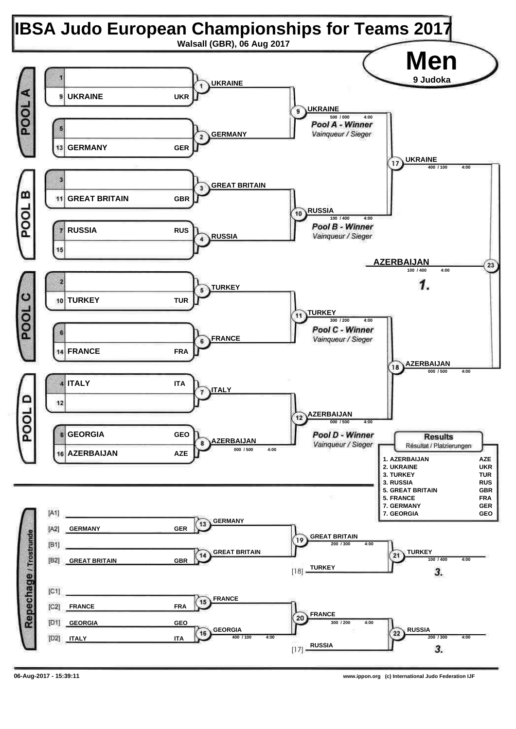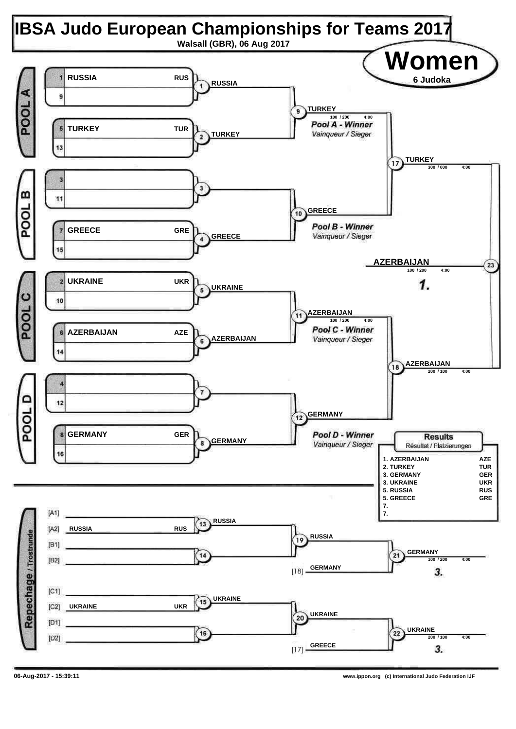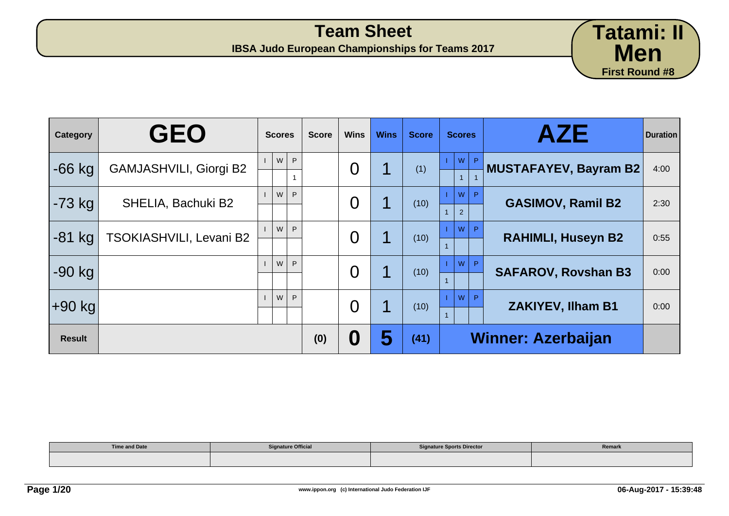|          |                               |               |              |                |             |              |               |    | <b>First Round #8</b>      |                 |
|----------|-------------------------------|---------------|--------------|----------------|-------------|--------------|---------------|----|----------------------------|-----------------|
| Category | <b>GEO</b>                    | <b>Scores</b> | <b>Score</b> | <b>Wins</b>    | <b>Wins</b> | <b>Score</b> | <b>Scores</b> |    | <b>AZE</b>                 | <b>Duration</b> |
| $-66$ kg | <b>GAMJASHVILI, Giorgi B2</b> | WP            |              | $\overline{0}$ | 1           | (1)          | W             | P. | MUSTAFAYEV, Bayram B2      | 4:00            |
| $-73$ kg | SHELIA, Bachuki B2            | W.            | P            | $\overline{0}$ | 1           | (10)         | W<br>2        | P. | <b>GASIMOV, Ramil B2</b>   | 2:30            |
| $-81$ kg | TSOKIASHVILI, Levani B2       | W             | P            | $\overline{0}$ | 1           | (10)         | W             | P  | <b>RAHIMLI, Huseyn B2</b>  | 0:55            |
| $-90$ kg |                               | W.            | P            | $\overline{0}$ | 1           | (10)         | W             | P  | <b>SAFAROV, Rovshan B3</b> | 0:00            |
| $+90$ kg |                               | W             | P            | $\overline{0}$ |             | (10)         | W             | P  | <b>ZAKIYEV, Ilham B1</b>   | 0:00            |

1

| <b>Time and Date</b> | <b>Signature Official</b> | <b>Signature Sports Director</b> | Remark |
|----------------------|---------------------------|----------------------------------|--------|
|                      |                           |                                  |        |

**Result (0) 0 5 (41) Winner: Azerbaijan**

**Tatami: II**

**Men**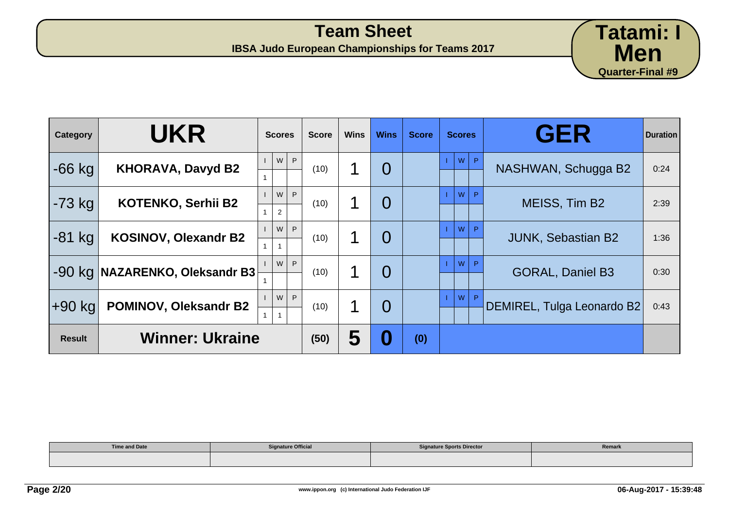

| <b>Category</b> | <b>UKR</b>                     | <b>Scores</b> |   | <b>Score</b> | <b>Wins</b> | <b>Wins</b>    | <b>Score</b> | <b>Scores</b> |   | <b>GER</b>                 | <b>Duration</b> |
|-----------------|--------------------------------|---------------|---|--------------|-------------|----------------|--------------|---------------|---|----------------------------|-----------------|
| $-66$ kg        | <b>KHORAVA, Davyd B2</b>       | W             | P | (10)         |             | $\overline{0}$ |              | W             | P | NASHWAN, Schugga B2        | 0:24            |
| $-73$ kg        | <b>KOTENKO, Serhii B2</b>      | W<br>2        | P | (10)         |             | $\overline{0}$ |              | W             | P | MEISS, Tim B2              | 2:39            |
| $-81$ kg        | <b>KOSINOV, Olexandr B2</b>    | W             | P | (10)         |             | $\overline{0}$ |              | W             | P | <b>JUNK, Sebastian B2</b>  | 1:36            |
|                 | -90 kg NAZARENKO, Oleksandr B3 | W             | P | (10)         |             | $\overline{0}$ |              | W             |   | <b>GORAL, Daniel B3</b>    | 0:30            |
| ∣+90 kg         | POMINOV, Oleksandr B2          | W             | P | (10)         |             | $\overline{0}$ |              | <b>W</b>      |   | DEMIREL, Tulga Leonardo B2 | 0:43            |
| <b>Result</b>   | <b>Winner: Ukraine</b>         |               |   | (50)         | 5           | 0              | (0)          |               |   |                            |                 |

| <b>Time and Date</b> | <b>Signature Official</b> | <b>Signature Sports Director</b> | Remark |
|----------------------|---------------------------|----------------------------------|--------|
|                      |                           |                                  |        |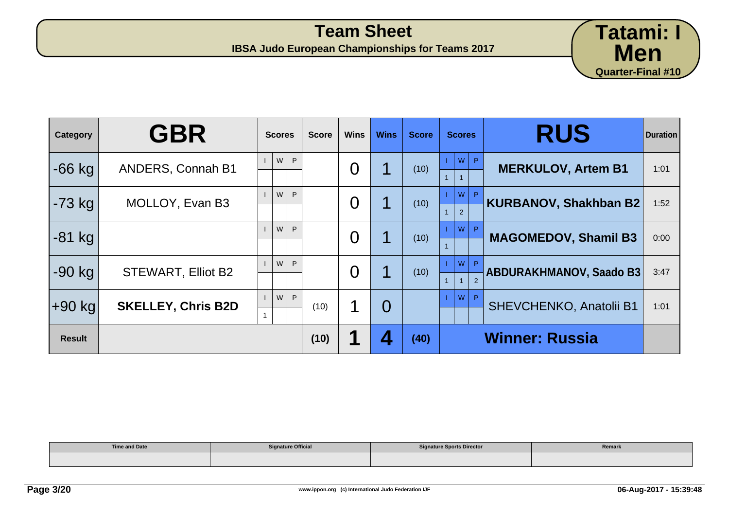

| Category      | <b>GBR</b>                | <b>Scores</b> | <b>Score</b> | <b>Wins</b>    | <b>Wins</b> | <b>Score</b> | <b>Scores</b>       | <b>RUS</b>                     | <b>Duration</b> |
|---------------|---------------------------|---------------|--------------|----------------|-------------|--------------|---------------------|--------------------------------|-----------------|
| $-66$ kg      | <b>ANDERS, Connah B1</b>  | W<br>P        |              | $\overline{0}$ |             | (10)         | p <br>W             | <b>MERKULOV, Artem B1</b>      | 1:01            |
| $-73$ kg      | MOLLOY, Evan B3           | P<br>W        |              | $\overline{0}$ |             | (10)         | <b>W</b><br>2       | <b>KURBANOV, Shakhban B2</b>   | 1:52            |
| $-81$ kg      |                           | W<br>P        |              | $\overline{0}$ |             | (10)         | D<br>W              | <b>MAGOMEDOV, Shamil B3</b>    | 0:00            |
| $-90$ kg      | <b>STEWART, Elliot B2</b> | W<br>P        |              | $\overline{0}$ |             | (10)         | W<br>$\overline{2}$ | <b>ABDURAKHMANOV, Saado B3</b> | 3:47            |
| $+90$ kg      | <b>SKELLEY, Chris B2D</b> | P<br>W        | (10)         | 1              | $\Omega$    |              | W                   | <b>SHEVCHENKO, Anatolii B1</b> | 1:01            |
| <b>Result</b> |                           |               | (10)         |                | Δ           | (40)         |                     | <b>Winner: Russia</b>          |                 |

| <b>Time and Date</b> | <b>Signature Official</b> | <b>Signature Sports Director</b> | Remark |
|----------------------|---------------------------|----------------------------------|--------|
|                      |                           |                                  |        |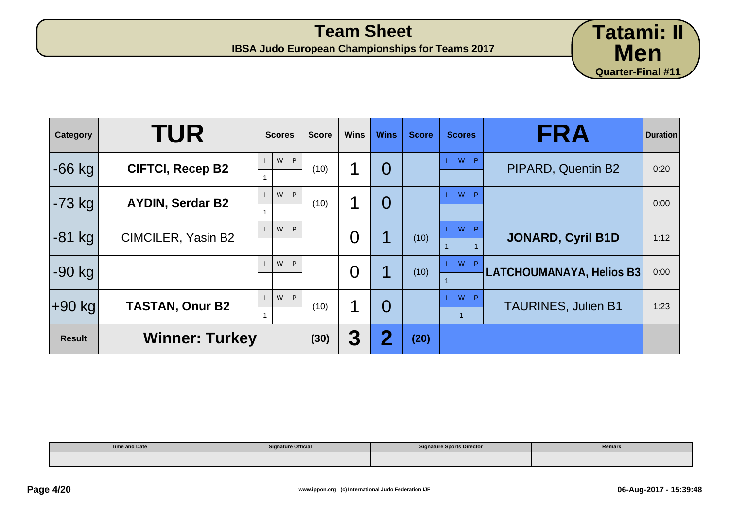

| Category      | <b>TUR</b>              | <b>Scores</b> | <b>Score</b> | <b>Wins</b> | <b>Wins</b>             | <b>Score</b> | <b>Scores</b>           | <b>FRA</b>                 | <b>Duration</b> |
|---------------|-------------------------|---------------|--------------|-------------|-------------------------|--------------|-------------------------|----------------------------|-----------------|
| $-66$ kg      | <b>CIFTCI, Recep B2</b> | P<br>W        | (10)         |             | $\overline{0}$          |              | W<br>P.                 | PIPARD, Quentin B2         | 0:20            |
| $-73$ kg      | <b>AYDIN, Serdar B2</b> | W<br>P        | (10)         |             | $\overline{0}$          |              | W<br>P                  |                            | 0:00            |
| $-81$ kg      | CIMCILER, Yasin B2      | W<br>P        |              | 0           | 1                       | (10)         | W<br>P.                 | <b>JONARD, Cyril B1D</b>   | 1:12            |
| $-90$ kg      |                         | W<br>P        |              | O           | 1                       | (10)         | W<br>$\mathbf{P}$       | LATCHOUMANAYA, Helios B3   | 0:00            |
| +90 kg        | <b>TASTAN, Onur B2</b>  | W<br>P        | (10)         | ◀           | $\overline{0}$          |              | W<br>P.<br>$\mathbf{1}$ | <b>TAURINES, Julien B1</b> | 1:23            |
| <b>Result</b> | <b>Winner: Turkey</b>   |               | (30)         | 3           | $\overline{\mathbf{2}}$ | (20)         |                         |                            |                 |

| <b>Time and Date</b> | <b>Signature Official</b> | <b>Signature Sports Director</b> | Remark |
|----------------------|---------------------------|----------------------------------|--------|
|                      |                           |                                  |        |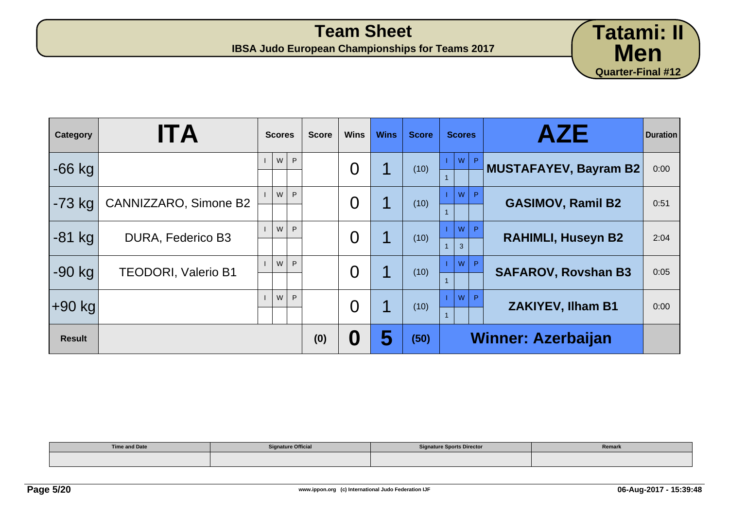

| Category      | <b>ITA</b>                 | <b>Scores</b> | <b>Score</b> | <b>Wins</b> | <b>Wins</b> | <b>Score</b> | <b>Scores</b>          | <b>AZE</b>                 | <b>Duration</b> |
|---------------|----------------------------|---------------|--------------|-------------|-------------|--------------|------------------------|----------------------------|-----------------|
| $-66$ kg      |                            | W<br>P.       |              | O           |             | (10)         | $W$ $P$                | MUSTAFAYEV, Bayram B2      | 0:00            |
| $-73$ kg      | CANNIZZARO, Simone B2      | W<br>P        |              | O           |             | (10)         | <b>W</b><br>P.         | <b>GASIMOV, Ramil B2</b>   | 0:51            |
| $-81$ kg      | DURA, Federico B3          | W<br>P        |              | O           |             | (10)         | W<br>D<br>$\mathbf{3}$ | <b>RAHIMLI, Huseyn B2</b>  | 2:04            |
| $-90$ kg      | <b>TEODORI, Valerio B1</b> | W<br>P        |              | O           |             | (10)         | W<br>P.                | <b>SAFAROV, Rovshan B3</b> | 0:05            |
| ∣+90 kg       |                            | W<br>P        |              | O           |             | (10)         | W                      | <b>ZAKIYEV, Ilham B1</b>   | 0:00            |
| <b>Result</b> |                            |               | (0)          | 0           | 5           | (50)         |                        | <b>Winner: Azerbaijan</b>  |                 |

| <b>Time and Date</b><br>________ | <b>Signature Official</b> | <b>Signature Sports Director</b> | Remark |
|----------------------------------|---------------------------|----------------------------------|--------|
|                                  |                           |                                  |        |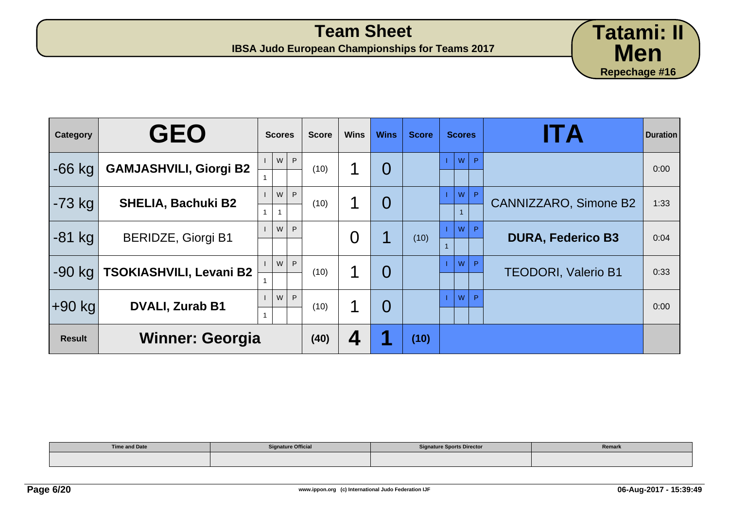

| <b>Category</b> | <b>GEO</b>                    | <b>Scores</b> | <b>Score</b> | <b>Wins</b> | <b>Wins</b>    | <b>Score</b> | <b>Scores</b>        | ITA                          | <b>Duration</b> |
|-----------------|-------------------------------|---------------|--------------|-------------|----------------|--------------|----------------------|------------------------------|-----------------|
| $-66$ kg        | <b>GAMJASHVILI, Giorgi B2</b> | P<br>W        | (10)         | 1           | $\overline{0}$ |              | P<br>W               |                              | 0:00            |
| -73 kg          | <b>SHELIA, Bachuki B2</b>     | W<br>P        | (10)         | 1           | $\overline{0}$ |              | W<br>P               | <b>CANNIZZARO, Simone B2</b> | 1:33            |
| $-81$ kg        | <b>BERIDZE, Giorgi B1</b>     | W<br>P        |              | 0           |                | (10)         | <b>W</b><br><b>D</b> | <b>DURA, Federico B3</b>     | 0:04            |
| $-90$ kg        | TSOKIASHVILI, Levani B2       | W<br>P        | (10)         | 1           | $\Omega$       |              | <b>W</b><br>P        | <b>TEODORI, Valerio B1</b>   | 0:33            |
| ∣+90 kg∣        | <b>DVALI, Zurab B1</b>        | W<br>P        | (10)         | 1           | $\Omega$       |              | <b>W</b><br>D        |                              | 0:00            |
| <b>Result</b>   | <b>Winner: Georgia</b>        |               | (40)         | 4           |                | (10)         |                      |                              |                 |

| <b>Time and Date</b> | <b>Signature Official</b> | <b>Signature Sports Director</b> | Remark |
|----------------------|---------------------------|----------------------------------|--------|
|                      |                           |                                  |        |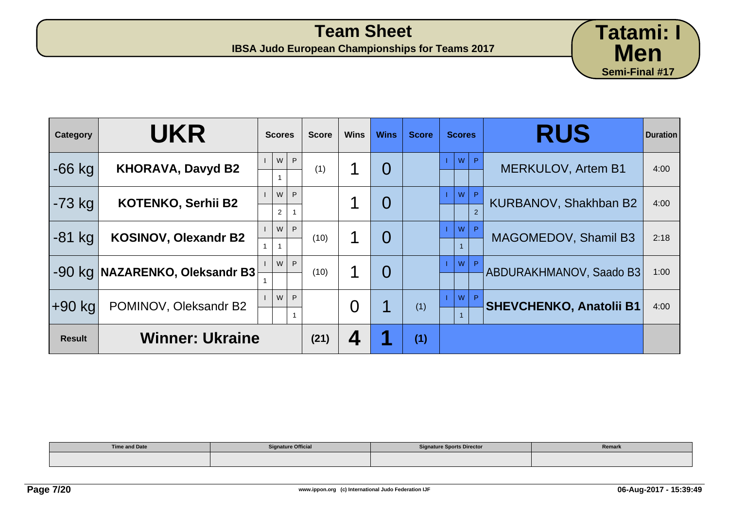| Category      | <b>UKR</b>                  | <b>Scores</b>            | <b>Score</b> | <b>Wins</b> | <b>Wins</b>    | <b>Score</b> | <b>Scores</b>        | <b>RUS</b>                     | <b>Duration</b> |
|---------------|-----------------------------|--------------------------|--------------|-------------|----------------|--------------|----------------------|--------------------------------|-----------------|
| $-66$ kg      | <b>KHORAVA, Davyd B2</b>    | W<br>P                   | (1)          |             | $\overline{0}$ |              | W                    | <b>MERKULOV, Artem B1</b>      | 4:00            |
| $-73$ kg      | <b>KOTENKO, Serhii B2</b>   | W<br>P<br>$\overline{2}$ |              |             | $\overline{0}$ |              | W<br>$\overline{2}$  | KURBANOV, Shakhban B2          | 4:00            |
| $-81$ kg      | <b>KOSINOV, Olexandr B2</b> | W<br>P                   | (10)         |             | 0              |              | W                    | MAGOMEDOV, Shamil B3           | 2:18            |
| $-90$ kg      | NAZARENKO, Oleksandr B3     | W<br>P                   | (10)         |             | $\overline{0}$ |              | <b>P</b><br><b>W</b> | ABDURAKHMANOV, Saado B3        | 1:00            |
| $+90$ kg      | POMINOV, Oleksandr B2       | W<br>P                   |              | O           | 1              | (1)          | W                    | <b>SHEVCHENKO, Anatolii B1</b> | 4:00            |
| <b>Result</b> | <b>Winner: Ukraine</b>      |                          | (21)         | 4           | 2              | (1)          |                      |                                |                 |

| <b>Time and Date</b> | <b>Signature Official</b> | <b>Signature Sports Director</b> | Remark |
|----------------------|---------------------------|----------------------------------|--------|
|                      |                           |                                  |        |

**Tatami: I**

**Men**

**Semi-Final #17**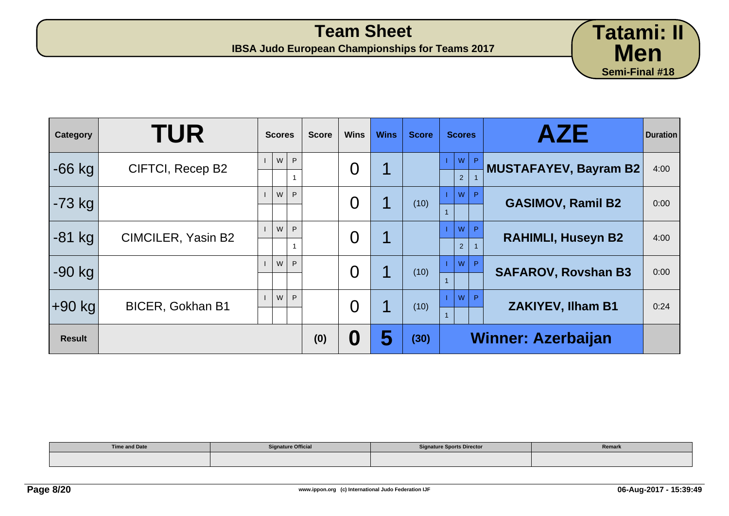| <b>Category</b> | <b>TUR</b>              | <b>Scores</b> | <b>Score</b> | <b>Wins</b> | <b>Wins</b> | <b>Score</b> | <b>Scores</b>             | <b>AZE</b>                   | <b>Duration</b> |
|-----------------|-------------------------|---------------|--------------|-------------|-------------|--------------|---------------------------|------------------------------|-----------------|
| $-66$ kg        | CIFTCI, Recep B2        | W<br>P        |              | 0           | 1           |              | W<br>P.<br>2              | <b>MUSTAFAYEV, Bayram B2</b> | 4:00            |
| $-73$ kg        |                         | W<br>P        |              | O           | 1           | (10)         | W<br>P                    | <b>GASIMOV, Ramil B2</b>     | 0:00            |
| $-81$ kg        | CIMCILER, Yasin B2      | W<br>P        |              | 0           | 1           |              | W<br>2                    | <b>RAHIMLI, Huseyn B2</b>    | 4:00            |
| $-90$ kg        |                         | W<br>P        |              | O           | 1           | (10)         | W<br>P                    | <b>SAFAROV, Rovshan B3</b>   | 0:00            |
| +90 kg          | <b>BICER, Gokhan B1</b> | W<br>P.       |              | O           | ◀           | (10)         | W<br>P                    | <b>ZAKIYEV, Ilham B1</b>     | 0:24            |
| <b>Result</b>   |                         |               | (0)          | 0           | 5           | (30)         | <b>Winner: Azerbaijan</b> |                              |                 |

| <b>Time and Date</b> | <b>Signature Official</b> | <b>Signature Sports Director</b> | Remark |
|----------------------|---------------------------|----------------------------------|--------|
|                      |                           |                                  |        |

**Tatami: II**

**Men**

**Semi-Final #18**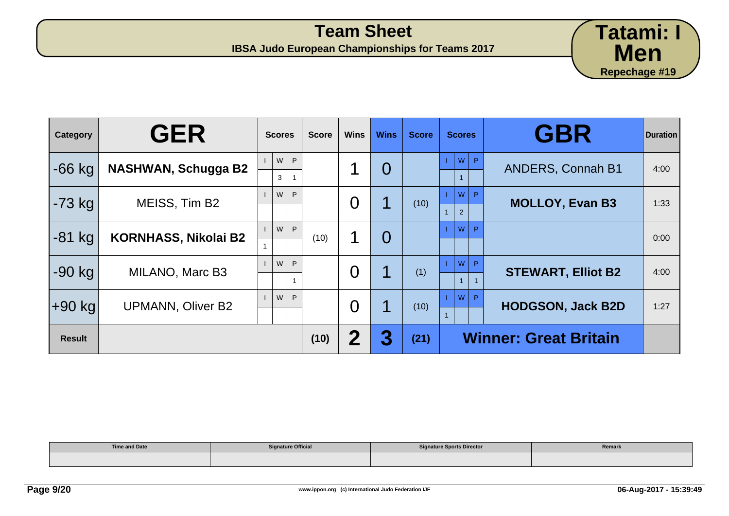| Category      | <b>GER</b>                  | <b>Scores</b>     | <b>Score</b> | <b>Wins</b>    | <b>Wins</b>    | <b>Score</b> | <b>Scores</b>                                    | <b>GBR</b>                   | <b>Duration</b> |
|---------------|-----------------------------|-------------------|--------------|----------------|----------------|--------------|--------------------------------------------------|------------------------------|-----------------|
| $-66$ kg      | <b>NASHWAN, Schugga B2</b>  | P<br>W<br>3       |              | 1              | $\overline{0}$ |              | $W$ $P$                                          | <b>ANDERS, Connah B1</b>     | 4:00            |
| $-73$ kg      | MEISS, Tim B2               | P<br>W            |              | $\overline{0}$ | 1              | (10)         | W <sup>2</sup><br>$\mathsf{P}$<br>2 <sup>1</sup> | <b>MOLLOY, Evan B3</b>       | 1:33            |
| $-81$ kg      | <b>KORNHASS, Nikolai B2</b> | $\mathsf{P}$<br>W | (10)         | 1              | $\overline{0}$ |              | P<br>W                                           |                              | 0:00            |
| $-90$ kg      | MILANO, Marc B3             | P<br>W            |              | $\overline{0}$ | 1              | (1)          | W<br>$\mathsf{P}$                                | <b>STEWART, Elliot B2</b>    | 4:00            |
| ∣+90 kg       | <b>UPMANN, Oliver B2</b>    | P<br>W            |              | $\overline{0}$ | 1              | (10)         | W<br>P.                                          | <b>HODGSON, Jack B2D</b>     | 1:27            |
| <b>Result</b> |                             |                   | (10)         | 2              | 3              | (21)         |                                                  | <b>Winner: Great Britain</b> |                 |

| <b>Time and Date</b> | <b>Signature Official</b> | <b>Signature Sports Director</b> | Remark |
|----------------------|---------------------------|----------------------------------|--------|
|                      |                           |                                  |        |

**Tatami: I**

**Men**

**Repechage #19**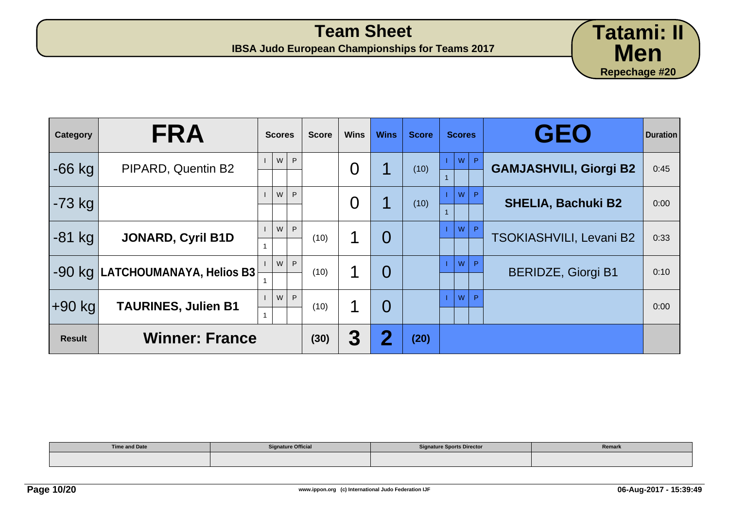| Category      | <b>FRA</b>                                                | <b>Scores</b> | <b>Score</b> | <b>Wins</b> | <b>Wins</b>             | <b>Score</b> | <b>Scores</b> | <b>GEO</b>                     | <b>Duration</b> |
|---------------|-----------------------------------------------------------|---------------|--------------|-------------|-------------------------|--------------|---------------|--------------------------------|-----------------|
| $-66$ kg      | PIPARD, Quentin B2                                        | P<br>W        |              | 0           | ◀                       | (10)         | l P<br>W      | <b>GAMJASHVILI, Giorgi B2</b>  | 0:45            |
| $-73$ kg      |                                                           | W<br>P.       |              | O           | 1                       | (10)         | W             | <b>SHELIA, Bachuki B2</b>      | 0:00            |
| $-81$ kg      | <b>JONARD, Cyril B1D</b>                                  | W<br>P        | (10)         |             | 0                       |              | W<br>D.       | <b>TSOKIASHVILI, Levani B2</b> | 0:33            |
| $-90$ kg      | $ \mathsf{LATCHOUNANAYA},$ Helios B3 $ \mathsf{A}\rangle$ | P<br>W        | (10)         | 1           | $\overline{0}$          |              | W             | <b>BERIDZE, Giorgi B1</b>      | 0:10            |
| $+90$ kg      | <b>TAURINES, Julien B1</b>                                | W<br>P        | (10)         |             | $\overline{0}$          |              | P<br>W        |                                | 0:00            |
| <b>Result</b> | <b>Winner: France</b>                                     |               | (30)         | 3           | $\overline{\mathbf{2}}$ | (20)         |               |                                |                 |

| <b>Time and Date</b> | <b>Signature Official</b> | <b>Signature Sports Director</b> | Remark |
|----------------------|---------------------------|----------------------------------|--------|
|                      |                           |                                  |        |

**Tatami: II**

**Men**

**Repechage #20**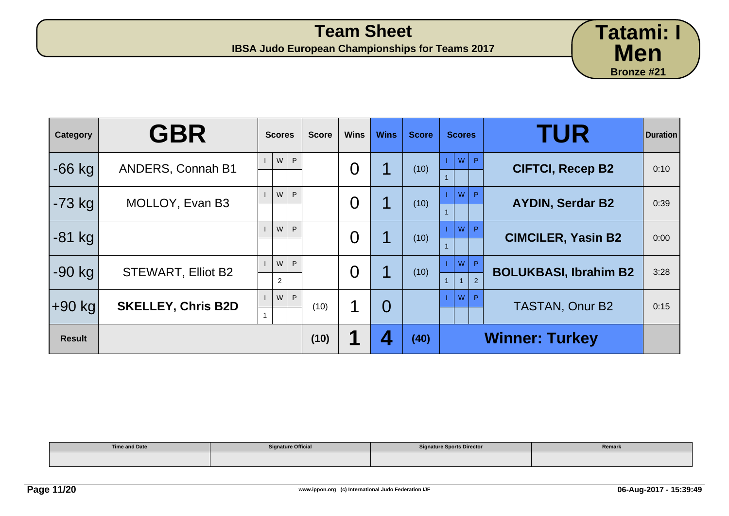**IBSA Judo European Championships for Teams 2017**

| Category      | <b>GBR</b>                | <b>Scores</b> | <b>Score</b> | <b>Wins</b> | <b>Wins</b>    | <b>Score</b> | <b>Scores</b> | <b>TUR</b>                   | <b>Duration</b> |
|---------------|---------------------------|---------------|--------------|-------------|----------------|--------------|---------------|------------------------------|-----------------|
| $-66$ kg      | <b>ANDERS, Connah B1</b>  | W<br>P        |              | 0           |                | (10)         | W<br>P.       | <b>CIFTCI, Recep B2</b>      | 0:10            |
| $-73$ kg      | MOLLOY, Evan B3           | W<br>P        |              | 0           | 1              | (10)         | W             | <b>AYDIN, Serdar B2</b>      | 0:39            |
| $-81$ kg      |                           | W<br>P        |              | 0           |                | (10)         | W<br>D        | <b>CIMCILER, Yasin B2</b>    | 0:00            |
| $-90$ kg      | <b>STEWART, Elliot B2</b> | W<br>P<br>2   |              | O           | 1              | (10)         | W<br>P<br>2   | <b>BOLUKBASI, Ibrahim B2</b> | 3:28            |
| $+90$ kg      | <b>SKELLEY, Chris B2D</b> | W<br>P.       | (10)         |             | $\overline{O}$ |              | W<br>P        | <b>TASTAN, Onur B2</b>       | 0:15            |
| <b>Result</b> |                           |               | (10)         |             | Δ              | (40)         |               | <b>Winner: Turkey</b>        |                 |

| Time and Date | <b>Signature Official</b> | <b>Signature Sports Director</b> | Remark |
|---------------|---------------------------|----------------------------------|--------|
|               |                           |                                  |        |

**Tatami: I**

**Men**

**Bronze #21**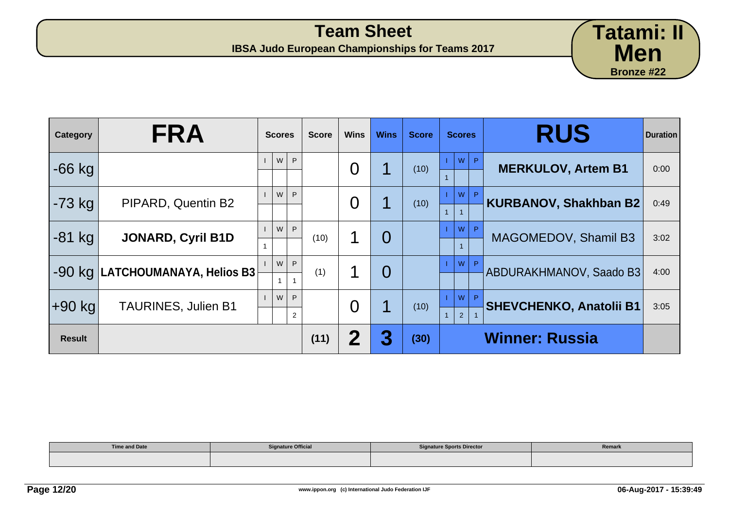**IBSA Judo European Championships for Teams 2017**

| Category      | <b>FRA</b>                        | <b>Scores</b>            | <b>Score</b> | <b>Wins</b> | <b>Wins</b>    | <b>Score</b> | <b>Scores</b>       | <b>RUS</b>                     | <b>Duration</b> |
|---------------|-----------------------------------|--------------------------|--------------|-------------|----------------|--------------|---------------------|--------------------------------|-----------------|
| $-66$ kg      |                                   | W<br>P.                  |              | 0           |                | (10)         | P.<br>W             | <b>MERKULOV, Artem B1</b>      | 0:00            |
| $-73$ kg      | PIPARD, Quentin B2                | W<br>P                   |              | O           |                | (10)         | W                   | <b>KURBANOV, Shakhban B2</b>   | 0:49            |
| $-81$ kg      | <b>JONARD, Cyril B1D</b>          | W<br>P                   | (10)         |             | $\overline{0}$ |              | W                   | MAGOMEDOV, Shamil B3           | 3:02            |
|               | $-90$ kg LATCHOUMANAYA, Helios B3 | W<br>P                   | (1)          |             | $\overline{0}$ |              | W                   | ABDURAKHMANOV, Saado B3        | 4:00            |
| +90 kg        | <b>TAURINES, Julien B1</b>        | W<br>P<br>$\overline{2}$ |              | O           | 1              | (10)         | W<br>$\overline{2}$ | <b>SHEVCHENKO, Anatolii B1</b> | 3:05            |
| <b>Result</b> |                                   |                          | (11)         | 2           | 3              | (30)         |                     | <b>Winner: Russia</b>          |                 |

| <b>Time and Date</b> | <b>Signature Official</b> | <b>Signature Sports Director</b> | Remark |
|----------------------|---------------------------|----------------------------------|--------|
|                      |                           |                                  |        |

**Tatami: II**

**Men**

**Bronze #22**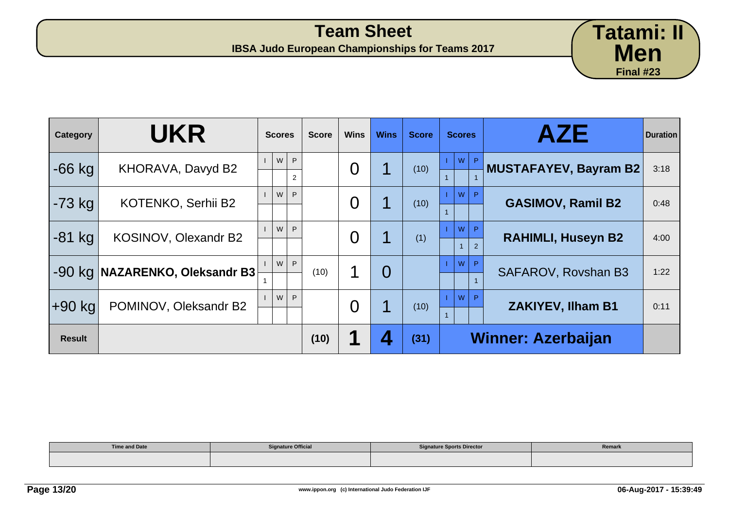**IBSA Judo European Championships for Teams 2017**

| Category      | <b>UKR</b>                     | <b>Scores</b>            | <b>Score</b> | <b>Wins</b> | <b>Wins</b>    | <b>Score</b> | <b>Scores</b>             | <b>AZE</b>                | <b>Duration</b> |  |
|---------------|--------------------------------|--------------------------|--------------|-------------|----------------|--------------|---------------------------|---------------------------|-----------------|--|
| $-66$ kg      | KHORAVA, Davyd B2              | W<br>P<br>$\overline{2}$ |              | 0           |                | (10)         | P.<br>W                   | MUSTAFAYEV, Bayram B2     | 3:18            |  |
| $-73$ kg      | <b>KOTENKO, Serhii B2</b>      | W<br>P                   |              | O           | 1              | (10)         | W                         | <b>GASIMOV, Ramil B2</b>  | 0:48            |  |
| $-81$ kg      | KOSINOV, Olexandr B2           | W<br>P.                  |              | 0           |                | (1)          | W<br>$\mathcal{P}$        | <b>RAHIMLI, Huseyn B2</b> | 4:00            |  |
|               | -90 kg NAZARENKO, Oleksandr B3 | W<br>P                   | (10)         |             | $\overline{0}$ |              | W                         | SAFAROV, Rovshan B3       | 1:22            |  |
| +90 kg        | POMINOV, Oleksandr B2          | W<br>P                   |              | 0           | 1              | (10)         | W                         | <b>ZAKIYEV, Ilham B1</b>  | 0:11            |  |
| <b>Result</b> |                                |                          | (10)         |             |                | (31)         | <b>Winner: Azerbaijan</b> |                           |                 |  |

| <b>Time and Date</b> | <b>Signature Official</b> | <b>Signature Sports Director</b> | Remark |
|----------------------|---------------------------|----------------------------------|--------|
|                      |                           |                                  |        |

**Tatami: II**

**Men**

**Final #23**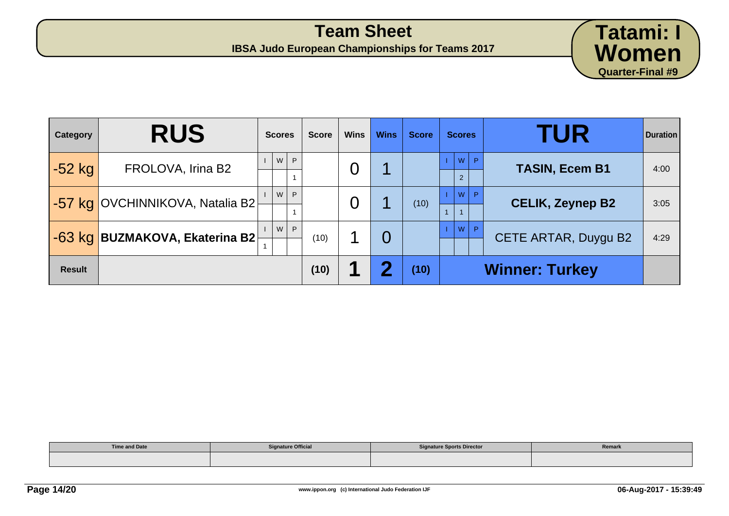

| Category      | <b>RUS</b>                      | <b>Scores</b> | <b>Score</b> | <b>Wins</b> | <b>Wins</b> | <b>Score</b> | <b>Scores</b>                 | <b>TUR</b>              | <b>Duration</b> |
|---------------|---------------------------------|---------------|--------------|-------------|-------------|--------------|-------------------------------|-------------------------|-----------------|
| $-52$ kg      | FROLOVA, Irina B2               | P<br>W        |              | 0           |             |              | W P<br>$\overline{2}$         | <b>TASIN, Ecem B1</b>   | 4:00            |
|               | -57 kg OVCHINNIKOVA, Natalia B2 | P.<br>w l     |              | O           |             | (10)         | $\mathsf{I} \mathsf{w}$<br>P. | <b>CELIK, Zeynep B2</b> | 3:05            |
|               | -63 kg BUZMAKOVA, Ekaterina B2  | P<br>W        | (10)         |             | 0           |              | W P                           | CETE ARTAR, Duygu B2    | 4:29            |
| <b>Result</b> |                                 |               | (10)         | п           | ŋ           | (10)         |                               | <b>Winner: Turkey</b>   |                 |

| <b>Time and Date</b> | <b>Signature Official</b> | <b>Signature Sports Director</b> | Remark |
|----------------------|---------------------------|----------------------------------|--------|
|                      |                           |                                  |        |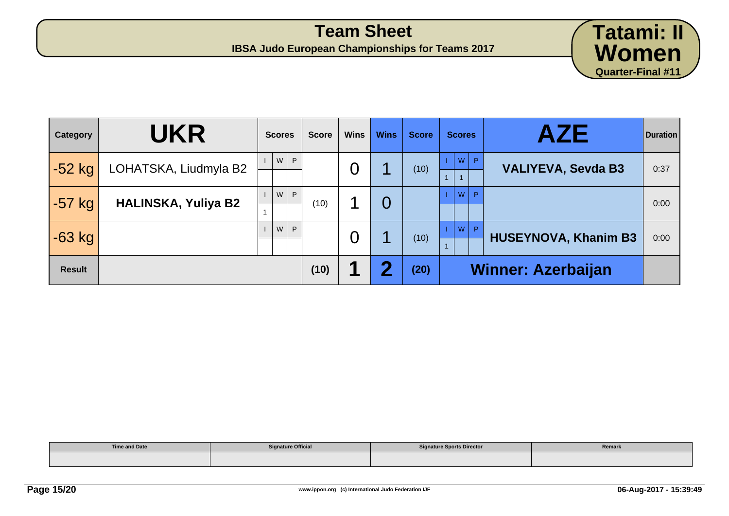

| Category      | <b>UKR</b>                 | <b>Scores</b> | <b>Score</b> | <b>Wins</b> | <b>Wins</b> | <b>Score</b> | <b>Scores</b> | AZE                         | <b>Duration</b> |
|---------------|----------------------------|---------------|--------------|-------------|-------------|--------------|---------------|-----------------------------|-----------------|
| $-52$ kg      | LOHATSKA, Liudmyla B2      | W<br>P        |              | 0           |             | (10)         | W<br> P       | <b>VALIYEVA, Sevda B3</b>   | 0:37            |
| $-57$ kg      | <b>HALINSKA, Yuliya B2</b> | P<br>w l      | (10)         |             | 0           |              | W<br>P        |                             | 0:00            |
| $-63$ kg      |                            | P<br>W        |              | O           |             | (10)         | W<br>P.       | <b>HUSEYNOVA, Khanim B3</b> | 0:00            |
| <b>Result</b> |                            |               | (10)         | 1           | Ω           | (20)         |               | <b>Winner: Azerbaijan</b>   |                 |

| <b>Time and Date</b> | <b>Signature Official</b> | <b>Signature Sports Director</b> | Remark |
|----------------------|---------------------------|----------------------------------|--------|
|                      |                           |                                  |        |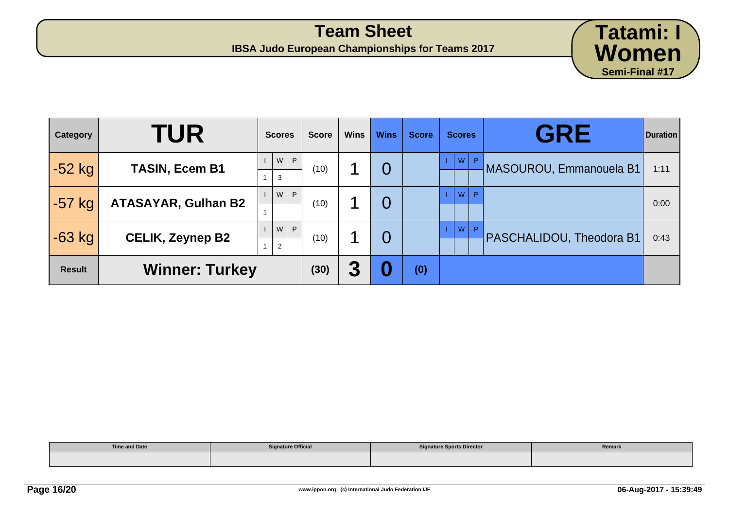**IBSA Judo European Championships for Teams 2017**

| Category      | <b>TUR</b>                 | <b>Scores</b>            | <b>Score</b> | <b>Wins</b> | <b>Wins</b> | <b>Score</b> | <b>Scores</b> | <b>GRE</b>               | <b>Duration</b> |
|---------------|----------------------------|--------------------------|--------------|-------------|-------------|--------------|---------------|--------------------------|-----------------|
| $-52$ kg      | <b>TASIN, Ecem B1</b>      | WP<br>3                  | (10)         |             | 0           |              | W<br>P        | MASOUROU, Emmanouela B1  | 1:11            |
| $-57$ kg      | <b>ATASAYAR, Gulhan B2</b> | W<br>P                   | (10)         |             | 0           |              | W<br>P        |                          | 0:00            |
| $-63$ kg      | <b>CELIK, Zeynep B2</b>    | W<br>P<br>$\overline{2}$ | (10)         |             | 0           |              | W<br>P        | PASCHALIDOU, Theodora B1 | 0:43            |
| <b>Result</b> | <b>Winner: Turkey</b>      |                          | (30)         | 3           | 0           | (0)          |               |                          |                 |

| <b>Time and Date</b> | <b>Signature Official</b> | <b>Signature Sports Director</b> | Remark |
|----------------------|---------------------------|----------------------------------|--------|
|                      |                           |                                  |        |

**Tatami: I**

**Women**

**Semi-Final #17**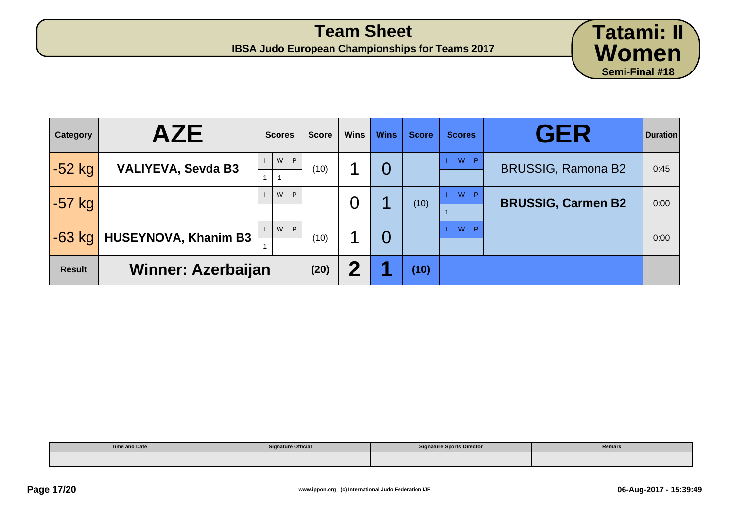**IBSA Judo European Championships for Teams 2017**

| <b>Category</b> | <b>AZE</b>                  | <b>Scores</b>                  | <b>Score</b> | <b>Wins</b>      | <b>Wins</b>    | <b>Score</b> | <b>Scores</b>     | <b>GER</b>                | <b>Duration</b> |
|-----------------|-----------------------------|--------------------------------|--------------|------------------|----------------|--------------|-------------------|---------------------------|-----------------|
| $-52$ kg        | <b>VALIYEVA, Sevda B3</b>   | P<br>W                         | (10)         |                  | $\overline{0}$ |              | W<br>$\mathsf{P}$ | <b>BRUSSIG, Ramona B2</b> | 0:45            |
| $-57$ kg        |                             | P<br>W                         |              | $\overline{0}$   | И              | (10)         | W<br>P            | <b>BRUSSIG, Carmen B2</b> | 0:00            |
| $-63$ kg        | <b>HUSEYNOVA, Khanim B3</b> | $\mathsf{P}$<br>W <sub>1</sub> | (10)         |                  | $\overline{0}$ |              | P<br>W            |                           | 0:00            |
| <b>Result</b>   | <b>Winner: Azerbaijan</b>   |                                | (20)         | $\boldsymbol{2}$ | и              | (10)         |                   |                           |                 |

| <b>Time and Date</b> | <b>Signature Official</b> | <b>Signature Sports Director</b> | Remark |
|----------------------|---------------------------|----------------------------------|--------|
|                      |                           |                                  |        |

**Tatami: II**

**Women**

**Semi-Final #18**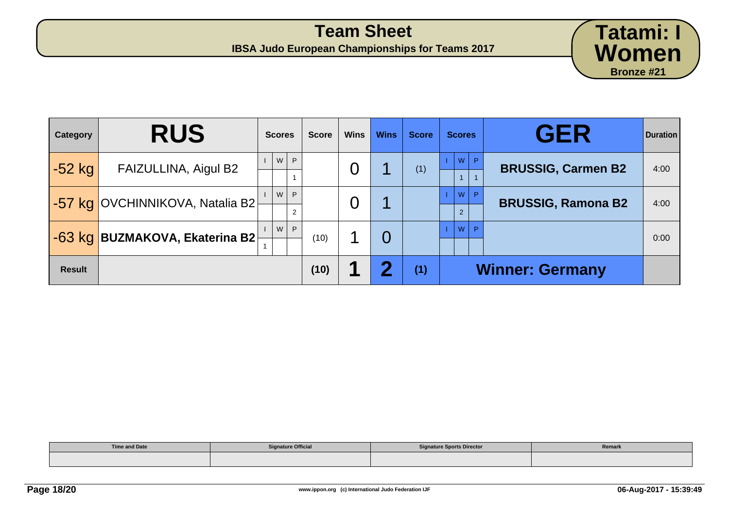| Category      | <b>RUS</b>                             | <b>Scores</b> | <b>Score</b> | <b>Wins</b> | <b>Wins</b> | <b>Score</b> | <b>Scores</b>             | <b>GER</b>                | <b>Duration</b> |
|---------------|----------------------------------------|---------------|--------------|-------------|-------------|--------------|---------------------------|---------------------------|-----------------|
| -52 kg        | FAIZULLINA, Aigul B2                   | P<br>W        |              | O           |             | (1)          | W<br>$/$ P $/$            | <b>BRUSSIG, Carmen B2</b> | 4:00            |
|               | <b>-57 kg OVCHINNIKOVA, Natalia B2</b> | P<br>W<br>2   |              | O           |             |              | W<br>P.<br>$\overline{2}$ | <b>BRUSSIG, Ramona B2</b> | 4:00            |
|               | -63 kg BUZMAKOVA, Ekaterina B2         | P.<br>W       | (10)         |             |             |              | W<br>D.                   |                           | 0:00            |
| <b>Result</b> |                                        |               | (10)         |             | Ω           | (1)          |                           | <b>Winner: Germany</b>    |                 |

| <b>Time and Date</b> | <b>Signature Official</b> | <b>Signature Sports Director</b> | Remark |
|----------------------|---------------------------|----------------------------------|--------|
|                      |                           |                                  |        |

**Tatami: I**

**Women**

**Bronze #21**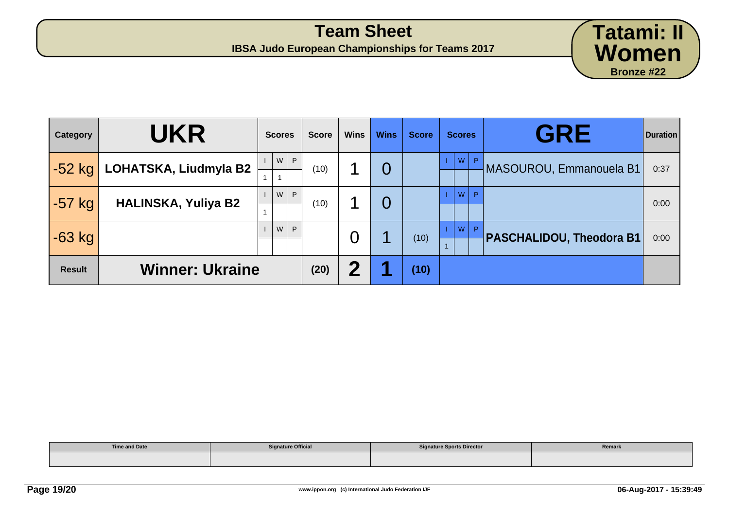**IBSA Judo European Championships for Teams 2017**

| Category      | <b>UKR</b>                 | <b>Scores</b> | <b>Score</b> | <b>Wins</b>             | <b>Wins</b> | <b>Score</b> | <b>Scores</b> | <b>GRE</b>                      | <b>Duration</b> |
|---------------|----------------------------|---------------|--------------|-------------------------|-------------|--------------|---------------|---------------------------------|-----------------|
| $-52$ kg      | LOHATSKA, Liudmyla B2      | WP            | (10)         |                         | 0           |              | W<br>P.       | MASOUROU, Emmanouela B1         | 0:37            |
| $-57$ kg      | <b>HALINSKA, Yuliya B2</b> | W<br>P        | (10)         |                         | 0           |              | W<br>P        |                                 | 0:00            |
| $-63$ kg      |                            | W<br>P        |              | 0                       |             | (10)         | <b>W</b>      | <b>PASCHALIDOU, Theodora B1</b> | 0:00            |
| <b>Result</b> | <b>Winner: Ukraine</b>     |               | (20)         | $\overline{\mathbf{2}}$ |             | (10)         |               |                                 |                 |

| <b>Time and Date</b><br>$\cdots$ $\cdots$ $\cdots$ $\cdots$ | <b>Signature Official</b> | <b>Signature Sports Director</b> | Remark |  |
|-------------------------------------------------------------|---------------------------|----------------------------------|--------|--|
|                                                             |                           |                                  |        |  |

**Tatami: II**

**Women**

**Bronze #22**